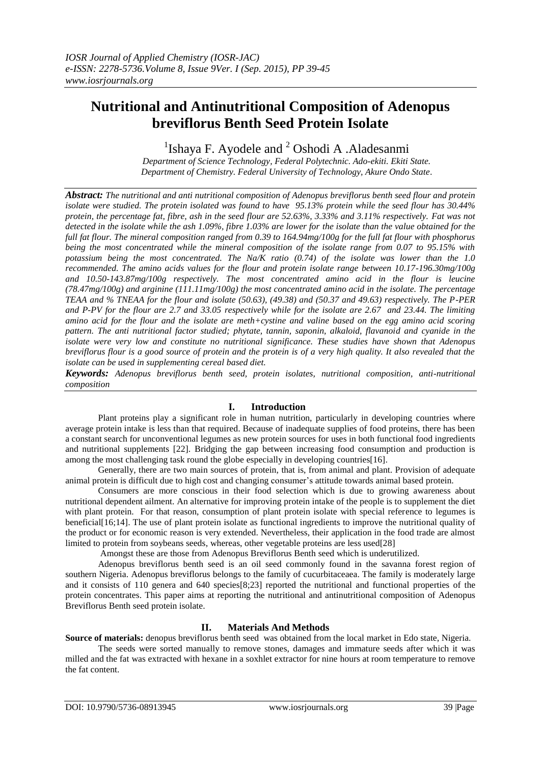# **Nutritional and Antinutritional Composition of Adenopus breviflorus Benth Seed Protein Isolate**

<sup>1</sup>Ishaya F. Ayodele and  $2$  Oshodi A .Aladesanmi

*Department of Science Technology, Federal Polytechnic. Ado-ekiti. Ekiti State. Department of Chemistry. Federal University of Technology, Akure Ondo State*.

*Abstract: The nutritional and anti nutritional composition of Adenopus breviflorus benth seed flour and protein isolate were studied. The protein isolated was found to have 95.13% protein while the seed flour has 30.44% protein, the percentage fat, fibre, ash in the seed flour are 52.63%, 3.33% and 3.11% respectively. Fat was not detected in the isolate while the ash 1.09%, fibre 1.03% are lower for the isolate than the value obtained for the full fat flour. The mineral composition ranged from 0.39 to 164.94mg/100g for the full fat flour with phosphorus being the most concentrated while the mineral composition of the isolate range from 0.07 to 95.15% with potassium being the most concentrated. The Na/K ratio (0.74) of the isolate was lower than the 1.0 recommended. The amino acids values for the flour and protein isolate range between 10.17-196.30mg/100g and 10.50-143.87mg/100g respectively. The most concentrated amino acid in the flour is leucine (78.47mg/100g) and arginine (111.11mg/100g) the most concentrated amino acid in the isolate. The percentage TEAA and % TNEAA for the flour and isolate (50.63), (49.38) and (50.37 and 49.63) respectively. The P-PER and P-PV for the flour are 2.7 and 33.05 respectively while for the isolate are 2.67 and 23.44. The limiting amino acid for the flour and the isolate are meth+cystine and valine based on the egg amino acid scoring pattern. The anti nutritional factor studied; phytate, tannin, saponin, alkaloid, flavanoid and cyanide in the isolate were very low and constitute no nutritional significance. These studies have shown that Adenopus breviflorus flour is a good source of protein and the protein is of a very high quality. It also revealed that the isolate can be used in supplementing cereal based diet.*

*Keywords: Adenopus breviflorus benth seed, protein isolates, nutritional composition, anti-nutritional composition*

## **I. Introduction**

Plant proteins play a significant role in human nutrition, particularly in developing countries where average protein intake is less than that required. Because of inadequate supplies of food proteins, there has been a constant search for unconventional legumes as new protein sources for uses in both functional food ingredients and nutritional supplements [22]. Bridging the gap between increasing food consumption and production is among the most challenging task round the globe especially in developing countries[16].

Generally, there are two main sources of protein, that is, from animal and plant. Provision of adequate animal protein is difficult due to high cost and changing consumer's attitude towards animal based protein.

Consumers are more conscious in their food selection which is due to growing awareness about nutritional dependent ailment. An alternative for improving protein intake of the people is to supplement the diet with plant protein. For that reason, consumption of plant protein isolate with special reference to legumes is beneficial[16;14]. The use of plant protein isolate as functional ingredients to improve the nutritional quality of the product or for economic reason is very extended. Nevertheless, their application in the food trade are almost limited to protein from soybeans seeds, whereas, other vegetable proteins are less used[28]

Amongst these are those from Adenopus Breviflorus Benth seed which is underutilized.

Adenopus breviflorus benth seed is an oil seed commonly found in the savanna forest region of southern Nigeria. Adenopus breviflorus belongs to the family of cucurbitaceaea. The family is moderately large and it consists of 110 genera and 640 species[8;23] reported the nutritional and functional properties of the protein concentrates. This paper aims at reporting the nutritional and antinutritional composition of Adenopus Breviflorus Benth seed protein isolate.

# **II. Materials And Methods**

**Source of materials:** denopus breviflorus benth seed was obtained from the local market in Edo state, Nigeria. The seeds were sorted manually to remove stones, damages and immature seeds after which it was milled and the fat was extracted with hexane in a soxhlet extractor for nine hours at room temperature to remove

the fat content.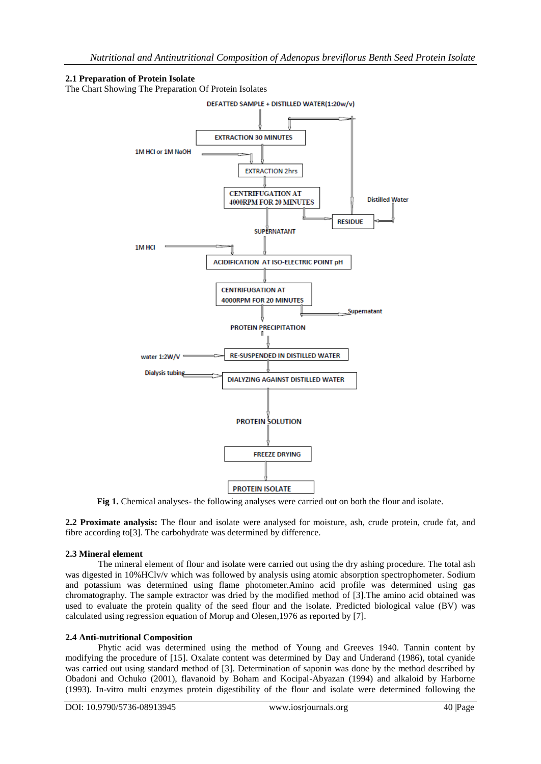## **2.1 Preparation of Protein Isolate**

The Chart Showing The Preparation Of Protein Isolates



**Fig 1.** Chemical analyses- the following analyses were carried out on both the flour and isolate.

**2.2 Proximate analysis:** The flour and isolate were analysed for moisture, ash, crude protein, crude fat, and fibre according to[3]. The carbohydrate was determined by difference.

## **2.3 Mineral element**

The mineral element of flour and isolate were carried out using the dry ashing procedure. The total ash was digested in 10%HClv/v which was followed by analysis using atomic absorption spectrophometer. Sodium and potassium was determined using flame photometer.Amino acid profile was determined using gas chromatography. The sample extractor was dried by the modified method of [3].The amino acid obtained was used to evaluate the protein quality of the seed flour and the isolate. Predicted biological value (BV) was calculated using regression equation of Morup and Olesen,1976 as reported by [7].

## **2.4 Anti-nutritional Composition**

Phytic acid was determined using the method of Young and Greeves 1940. Tannin content by modifying the procedure of [15]. Oxalate content was determined by Day and Underand (1986), total cyanide was carried out using standard method of [3]. Determination of saponin was done by the method described by Obadoni and Ochuko (2001), flavanoid by Boham and Kocipal-Abyazan (1994) and alkaloid by Harborne (1993). In-vitro multi enzymes protein digestibility of the flour and isolate were determined following the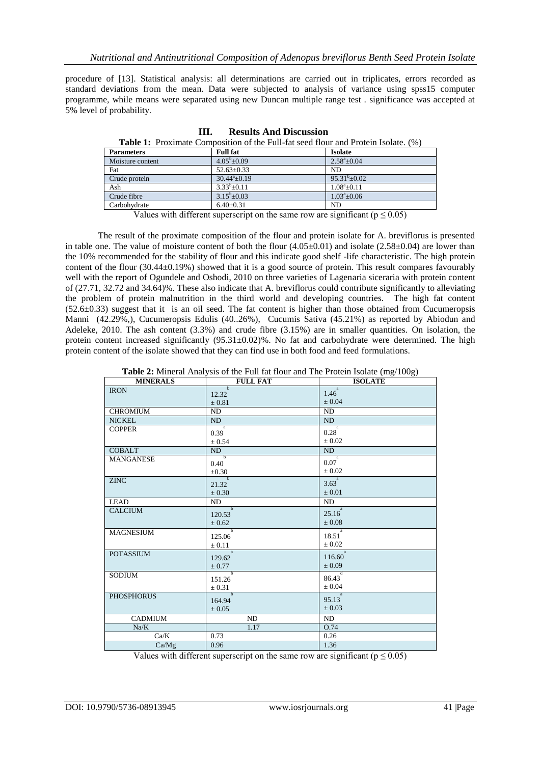procedure of [13]. Statistical analysis: all determinations are carried out in triplicates, errors recorded as standard deviations from the mean. Data were subjected to analysis of variance using spss15 computer programme, while means were separated using new Duncan multiple range test . significance was accepted at 5% level of probability.

| <b>Table 1:</b> Proximate Composition of the Full-fat seed flour and Protein Isolate. (%) |                        |                      |
|-------------------------------------------------------------------------------------------|------------------------|----------------------|
| <b>Parameters</b>                                                                         | <b>Full fat</b>        | <b>Isolate</b>       |
| Moisture content                                                                          | $4.05^{\rm b} + 0.09$  | $2.58^{\circ}$ ±0.04 |
| Fat                                                                                       | $52.63 \pm 0.33$       | ND.                  |
| Crude protein                                                                             | $30.44^{\circ}$ ± 0.19 | $95.31^{b} + 0.02$   |
| Ash                                                                                       | $3.33^{b}+0.11$        | $1.08^a \pm 0.11$    |
| Crude fibre                                                                               | $3.15^{\rm b} + 0.03$  | $1.03^{\circ}+0.06$  |
| Carbohydrate                                                                              | $6.40 \pm 0.31$        | N <sub>D</sub>       |

**III. Results And Discussion**

Values with different superscript on the same row are significant ( $p \le 0.05$ )

The result of the proximate composition of the flour and protein isolate for A. breviflorus is presented in table one. The value of moisture content of both the flour  $(4.05\pm0.01)$  and isolate  $(2.58\pm0.04)$  are lower than the 10% recommended for the stability of flour and this indicate good shelf -life characteristic. The high protein content of the flour (30.44±0.19%) showed that it is a good source of protein. This result compares favourably well with the report of Ogundele and Oshodi, 2010 on three varieties of Lagenaria siceraria with protein content of (27.71, 32.72 and 34.64)%. These also indicate that A. breviflorus could contribute significantly to alleviating the problem of protein malnutrition in the third world and developing countries. The high fat content  $(52.6±0.33)$  suggest that it is an oil seed. The fat content is higher than those obtained from Cucumeropsis Manni (42.29%,), Cucumeropsis Edulis (40..26%), Cucumis Sativa (45.21%) as reported by Abiodun and Adeleke, 2010. The ash content (3.3%) and crude fibre (3.15%) are in smaller quantities. On isolation, the protein content increased significantly  $(95.31\pm0.02)\%$ . No fat and carbohydrate were determined. The high protein content of the isolate showed that they can find use in both food and feed formulations.

| <b>Table 2:</b> Mineral Analysis of the Full fat flour and The Protein Isolate (mg/100g) |  |
|------------------------------------------------------------------------------------------|--|
|------------------------------------------------------------------------------------------|--|

| <b>MINERALS</b>   | <b>FULL FAT</b>                    | $\overline{\phantom{a}}$<br>$\sim$ 0/<br><b>ISOLATE</b> |
|-------------------|------------------------------------|---------------------------------------------------------|
| <b>IRON</b>       | $\overline{h}$<br>12.32            | a<br>1.46                                               |
|                   | $\pm 0.81$                         | $\pm 0.04$                                              |
| <b>CHROMIUM</b>   | ND                                 | ND                                                      |
| <b>NICKEL</b>     | ND                                 | ND                                                      |
| <b>COPPER</b>     | $\overline{\phantom{a}}$ a<br>0.39 | $\overline{a}$<br>0.28                                  |
|                   | $\pm 0.54$                         | $\pm 0.02$                                              |
| <b>COBALT</b>     | ND                                 | ND                                                      |
| <b>MANGANESE</b>  | $\overline{b}$                     | $\overline{a}$<br>0.07                                  |
|                   | 0.40<br>$\pm 0.30$                 | $\pm 0.02$                                              |
| <b>ZINC</b>       | $\overline{b}$                     | a -                                                     |
|                   | 21.32                              | 3.63                                                    |
|                   | $\pm 0.30$                         | $\pm 0.01$                                              |
| <b>LEAD</b>       | ND<br>$\overline{b}$               | ND<br>a <sup>-</sup>                                    |
| <b>CALCIUM</b>    | 120.53                             | 25.16                                                   |
|                   | ± 0.62                             | $\pm 0.08$                                              |
| <b>MAGNESIUM</b>  | $\overline{\phantom{a}}$<br>125.06 | a -<br>18.51                                            |
|                   | $\pm$ 0.11                         | $\pm 0.02$                                              |
| <b>POTASSIUM</b>  | $\overline{a}$                     | a <sup>-</sup><br>116.60                                |
|                   | 129.62<br>± 0.77                   | $\pm 0.09$                                              |
| <b>SODIUM</b>     | $\overline{b}$                     | $\overline{d}$                                          |
|                   | 151.26                             | 86.43                                                   |
|                   | $\pm$ 0.31                         | $\pm 0.04$                                              |
| <b>PHOSPHORUS</b> | $\overline{b}$<br>164.94           | 95.13                                                   |
|                   | $\pm 0.05$                         | $\pm 0.03$                                              |
| <b>CADMIUM</b>    | ND.                                | ND                                                      |
| Na/K              | 1.17                               | O.74                                                    |
| Ca/K              | 0.73                               | 0.26                                                    |
| Ca/Mg             | 0.96                               | 1.36                                                    |
|                   |                                    |                                                         |

Values with different superscript on the same row are significant ( $p \le 0.05$ )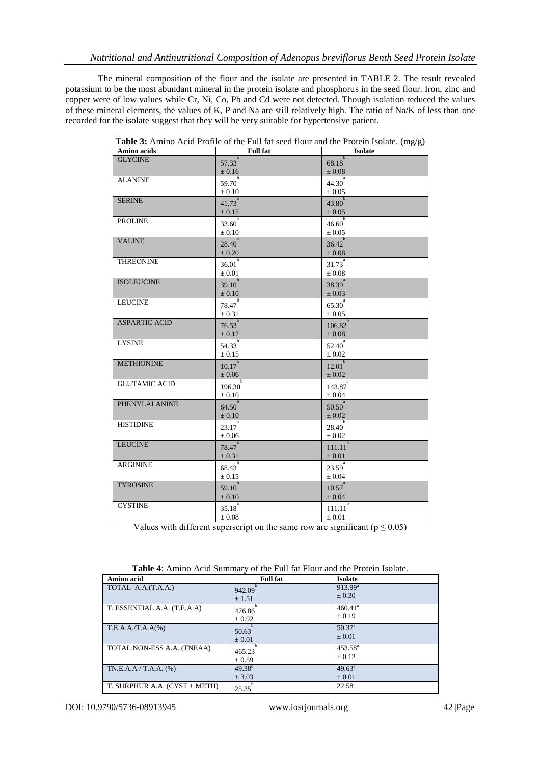The mineral composition of the flour and the isolate are presented in TABLE 2. The result revealed potassium to be the most abundant mineral in the protein isolate and phosphorus in the seed flour. Iron, zinc and copper were of low values while Cr, Ni, Co, Pb and Cd were not detected. Though isolation reduced the values of these mineral elements, the values of K, P and Na are still relatively high. The ratio of Na/K of less than one recorded for the isolate suggest that they will be very suitable for hypertensive patient.

| Amino acids          | <b>Full fat</b>                        | <b>Isolate</b>                       |
|----------------------|----------------------------------------|--------------------------------------|
| <b>GLYCINE</b>       | $\overline{a}$<br>57.33                | $\overline{h}$<br>68.18              |
|                      | $\pm 0.16$                             | $\pm 0.08$                           |
| <b>ALANINE</b>       | $\overline{b}$<br>59.70                | $44.30^{a}$                          |
|                      | $\pm 0.10$                             | $\pm 0.05$                           |
| <b>SERINE</b>        | $\overline{a}$<br>41.73                | $\overline{\phantom{a}}$<br>43.80    |
|                      | $\pm$ 0.15                             | $\pm 0.05$                           |
| <b>PROLINE</b>       | $33.60^{a}$                            | $\overline{b}$                       |
|                      | $\pm 0.10$                             | 46.60<br>$\pm 0.05$                  |
| <b>VALINE</b>        | $28.40^{a}$                            | $36.42^{b}$                          |
|                      |                                        |                                      |
| THREONINE            | $\pm 0.20$                             | $\pm 0.08$                           |
|                      | 36.01                                  | $31.73^{a}$                          |
|                      | $\pm 0.01$                             | $\pm 0.08$                           |
| <b>ISOLEUCINE</b>    | $39.10^{b}$                            | $38.39^{a}$                          |
|                      | $\pm 0.10$                             | $\pm 0.03$                           |
| <b>LEUCINE</b>       | 78.47                                  | $\frac{1}{65.30}$ <sup>a</sup>       |
|                      | $\pm$ 0.31                             | $\pm 0.05$                           |
| <b>ASPARTIC ACID</b> | $\frac{1}{2}$ $\frac{a}{2}$<br>76.53   | $106.82^{b}$                         |
|                      | $\pm 0.12$                             | $\pm 0.08$                           |
| <b>LYSINE</b>        | $\frac{1}{54.33}$                      | $\overline{52.40}^{a}$               |
|                      | $\pm 0.15$                             | $\pm 0.02$                           |
| <b>METHIONINE</b>    | $\overline{a}$<br>10.17                | $12.01^{b}$                          |
|                      | $\pm\,0.06$                            | $\pm 0.02$                           |
| <b>GLUTAMIC ACID</b> | $\overline{b}$<br>196.30               | $\overline{\phantom{a}}$ a<br>143.87 |
|                      | $\pm 0.10$                             | $\pm 0.04$                           |
| PHENYLALANINE        | $\overline{b}$<br>64.50                | $\overline{\phantom{a}}$ a<br>50.50  |
|                      | $\pm 0.10$                             | $\pm 0.02$                           |
| <b>HISTIDINE</b>     | $\overline{\phantom{a}}$<br>23.17      | $\overline{b}$<br>28.40              |
|                      | $\pm 0.06$                             | $\pm 0.02$                           |
| <b>LEUCINE</b>       | $\overline{a}$<br>$78.47$ <sup>a</sup> | $\overline{\phantom{a}}$<br>111.11   |
|                      | $\pm 0.31$                             | $\pm 0.01$                           |
| <b>ARGININE</b>      | $\overline{b}$<br>68.43                | $\overline{a}$<br>23.59              |
|                      | ± 0.15                                 | $\pm 0.04$                           |
| <b>TYROSINE</b>      | $\overline{b}$                         | $\overline{\phantom{a}}$ a           |
|                      | 59.10<br>$\pm 0.10$                    | 10.57<br>$\pm 0.04$                  |
| <b>CYSTINE</b>       | a                                      | $\overline{\phantom{a}}$             |
|                      | 35.18<br>$\pm 0.08$                    | 111.11<br>$\pm 0.01$                 |
|                      |                                        |                                      |

**Table 3:** Amino Acid Profile of the Full fat seed flour and the Protein Isolate. (mg/g)

Values with different superscript on the same row are significant ( $p \le 0.05$ )

| Amino acid                    | <b>Full fat</b> | <b>Isolate</b>        |  |
|-------------------------------|-----------------|-----------------------|--|
| TOTAL A.A.(T.A.A.)            | 942.09          | $913.99^{\rm a}$      |  |
|                               | ± 1.51          | $\pm 0.30$            |  |
| T. ESSENTIAL A.A. (T.E.A.A)   | 476.86          | $460.41$ <sup>a</sup> |  |
|                               | $\pm 0.92$      | $\pm 0.19$            |  |
| T.E.A.A./T.A.A(%)             | 50.63           | 50.37 <sup>a</sup>    |  |
|                               | $\pm 0.01$      | $\pm 0.01$            |  |
| TOTAL NON-ESS A.A. (TNEAA)    | 465.23          | $453.58^{\circ}$      |  |
|                               | ± 0.59          | $\pm$ 0.12            |  |
| $TN.E.A.A / T.A.A.$ (%)       | $49.38^{b}$     | $49.63^{\circ}$       |  |
|                               | $±$ 3.03        | $\pm 0.01$            |  |
| T. SURPHUR A.A. (CYST + METH) | 25.35           | $22.58^{\rm a}$       |  |

**Table 4**: Amino Acid Summary of the Full fat Flour and the Protein Isolate.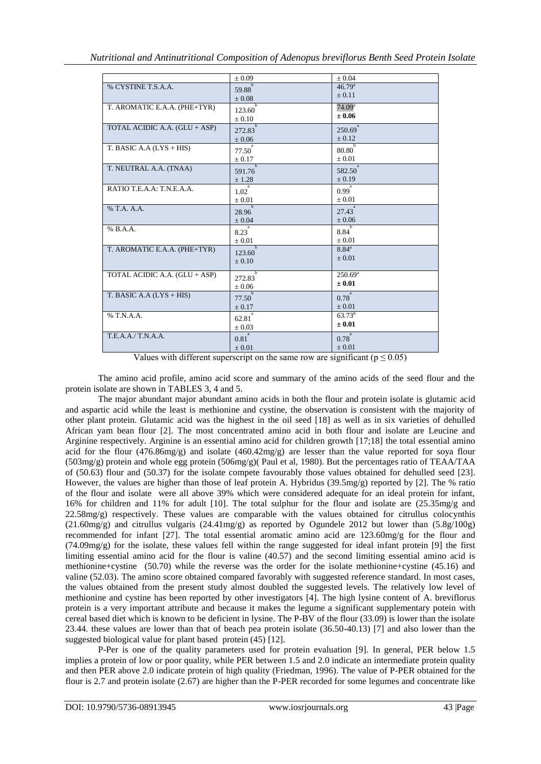|                               | $\pm 0.09$                 | $\pm 0.04$           |
|-------------------------------|----------------------------|----------------------|
| % CYSTINE T.S.A.A.            | $\mathbf{h}$<br>59.88      | $46.79^{a}$          |
|                               | $\pm 0.08$                 | $\pm 0.11$           |
| T. AROMATIC E.A.A. (PHE+TYR)  | Ъ                          | 74.09 <sup>a</sup>   |
|                               | 123.60                     | $\pm 0.06$           |
|                               | $\pm 0.10$<br>$\mathbf{b}$ | a                    |
| TOTAL ACIDIC A.A. (GLU + ASP) | 272.83                     | 250.69               |
|                               | $\pm 0.06$                 | $\pm$ 0.12           |
| T. BASIC A.A $(LYS + HIS)$    | 77.50                      | 80.80                |
|                               | $\pm 0.17$                 | $\pm 0.01$           |
| T. NEUTRAL A.A. (TNAA)        | $\mathbf b$                | a                    |
|                               | 591.76                     | 582.50               |
|                               | ± 1.28<br>a                | $\pm 0.19$           |
| RATIO T.E.A.A: T.N.E.A.A.     | 1.02                       | $0.99$ <sup>a</sup>  |
|                               | $\pm 0.01$                 | $\pm 0.01$           |
| % T.A. A.A.                   | $\overline{b}$<br>28.96    | $27.43$ <sup>-</sup> |
|                               | $\pm 0.04$                 | $\pm 0.06$           |
| % B.A.A.                      |                            |                      |
|                               | 8.23                       | 8.84                 |
|                               | $\pm 0.01$<br>$\mathbf b$  | $\pm 0.01$           |
| T. AROMATIC E.A.A. (PHE+TYR)  | 123.60                     | $8.84^{a}$           |
|                               | $\pm 0.10$                 | $\pm 0.01$           |
|                               | Ъ                          |                      |
| TOTAL ACIDIC A.A. (GLU + ASP) | 272.83                     | $250.69^{\circ}$     |
|                               | $\pm 0.06$                 | $\pm 0.01$           |
| T. BASIC A.A $(LYS + HIS)$    | $\mathbf b$<br>77.50       | $0.78^{^{a}}$        |
|                               | $\pm 0.17$                 | $\pm 0.01$           |
| % T.N.A.A.                    | a                          | $63.73^{b}$          |
|                               | 62.81                      | $\pm 0.01$           |
|                               | $\pm 0.03$<br>a            |                      |
| T.E.A.A./T.N.A.A.             | 0.81                       | $0.78^{^{a}}$        |
|                               | $\pm 0.01$                 | $\pm 0.01$           |
|                               |                            |                      |

Values with different superscript on the same row are significant ( $p \le 0.05$ )

The amino acid profile, amino acid score and summary of the amino acids of the seed flour and the protein isolate are shown in TABLES 3, 4 and 5.

The major abundant major abundant amino acids in both the flour and protein isolate is glutamic acid and aspartic acid while the least is methionine and cystine, the observation is consistent with the majority of other plant protein. Glutamic acid was the highest in the oil seed [18] as well as in six varieties of dehulled African yam bean flour [2]. The most concentrated amino acid in both flour and isolate are Leucine and Arginine respectively. Arginine is an essential amino acid for children growth [17;18] the total essential amino acid for the flour (476.86mg/g) and isolate (460.42mg/g) are lesser than the value reported for soya flour (503mg/g) protein and whole egg protein (506mg/g)( Paul et al, 1980). But the percentages ratio of TEAA/TAA of (50.63) flour and (50.37) for the isolate compete favourably those values obtained for dehulled seed [23]. However, the values are higher than those of leaf protein A. Hybridus (39.5mg/g) reported by [2]. The % ratio of the flour and isolate were all above 39% which were considered adequate for an ideal protein for infant, 16% for children and 11% for adult [10]. The total sulphur for the flour and isolate are (25.35mg/g and 22.58mg/g) respectively. These values are comparable with the values obtained for citrullus colocynthis  $(21.60 \text{mg/g})$  and citrullus vulgaris  $(24.41 \text{mg/g})$  as reported by Ogundele 2012 but lower than  $(5.8g/100g)$ recommended for infant [27]. The total essential aromatic amino acid are 123.60mg/g for the flour and  $(74.09 \text{mg/g})$  for the isolate, these values fell within the range suggested for ideal infant protein [9] the first limiting essential amino acid for the flour is valine (40.57) and the second limiting essential amino acid is methionine+cystine (50.70) while the reverse was the order for the isolate methionine+cystine (45.16) and valine (52.03). The amino score obtained compared favorably with suggested reference standard. In most cases, the values obtained from the present study almost doubled the suggested levels. The relatively low level of methionine and cystine has been reported by other investigators [4]. The high lysine content of A. breviflorus protein is a very important attribute and because it makes the legume a significant supplementary potein with cereal based diet which is known to be deficient in lysine. The P-BV of the flour (33.09) is lower than the isolate 23.44. these values are lower than that of beach pea protein isolate (36.50-40.13) [7] and also lower than the suggested biological value for plant based protein (45) [12].

P-Per is one of the quality parameters used for protein evaluation [9]. In general, PER below 1.5 implies a protein of low or poor quality, while PER between 1.5 and 2.0 indicate an intermediate protein quality and then PER above 2.0 indicate protein of high quality (Friedman, 1996). The value of P-PER obtained for the flour is 2.7 and protein isolate (2.67) are higher than the P-PER recorded for some legumes and concentrate like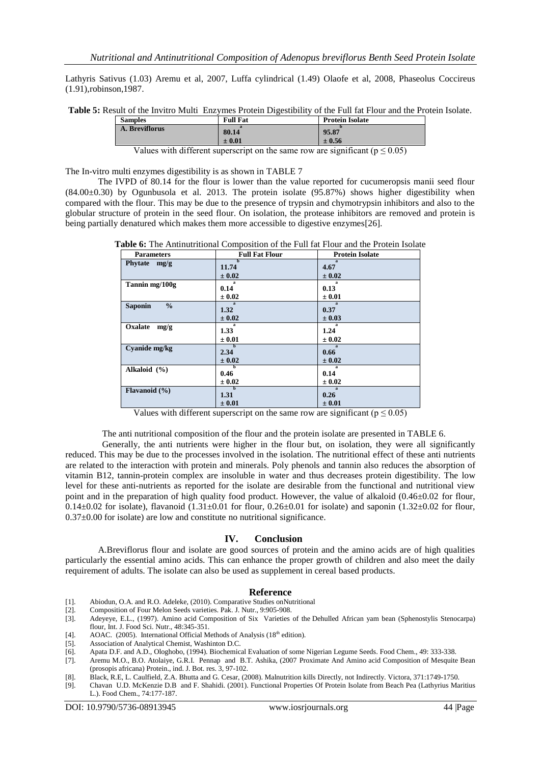Lathyris Sativus (1.03) Aremu et al, 2007, Luffa cylindrical (1.49) Olaofe et al, 2008, Phaseolus Coccireus (1.91),robinson,1987.

**Table 5:** Result of the Invitro Multi Enzymes Protein Digestibility of the Full fat Flour and the Protein Isolate.

| <b>Samples</b> | <b>Full Fat</b> | <b>Protein Isolate</b> |
|----------------|-----------------|------------------------|
| A. Breviflorus | 80.14           | 95.87                  |
|                | $\pm 0.01$      | ± 0.56                 |

|  | Values with different superscript on the same row are significant ( $p \le 0.05$ ) |  |  |
|--|------------------------------------------------------------------------------------|--|--|
|--|------------------------------------------------------------------------------------|--|--|

The In-vitro multi enzymes digestibility is as shown in TABLE 7

The IVPD of 80.14 for the flour is lower than the value reported for cucumeropsis manii seed flour (84.00±0.30) by Ogunbusola et al. 2013. The protein isolate (95.87%) shows higher digestibility when compared with the flour. This may be due to the presence of trypsin and chymotrypsin inhibitors and also to the globular structure of protein in the seed flour. On isolation, the protease inhibitors are removed and protein is being partially denatured which makes them more accessible to digestive enzymes[26].

| <b>Table 6:</b> The Antinutritional Composition of the Full fat Flour and the Protein Isolate |  |  |  |  |
|-----------------------------------------------------------------------------------------------|--|--|--|--|
|-----------------------------------------------------------------------------------------------|--|--|--|--|

| <b>Parameters</b>               | <b>Full Fat Flour</b> | <b>Protein Isolate</b> |
|---------------------------------|-----------------------|------------------------|
| Phytate mg/g                    | 11.74<br>$\pm 0.02$   | 4.67<br>$\pm 0.02$     |
|                                 | я                     |                        |
| Tannin mg/100g                  | 0.14                  | 0.13                   |
|                                 | $\pm 0.02$            | $\pm 0.01$             |
| $\frac{0}{0}$<br><b>Saponin</b> | $\mathbf{a}$<br>1.32  | 0.37                   |
|                                 | $\pm 0.02$            | $\pm 0.03$             |
| Oxalate<br>mg/g                 | я<br>1.33             | 1.24                   |
|                                 | $\pm 0.01$            | $\pm 0.02$             |
| Cyanide mg/kg                   | $\mathbf{h}$<br>2.34  | $\mathbf{a}$<br>0.66   |
|                                 | $\pm 0.02$            | $\pm 0.02$             |
| Alkaloid $(\% )$                | h<br>0.46             | 0.14                   |
|                                 | $\pm 0.02$            | $\pm 0.02$             |
| Flavanoid $(\% )$               | b<br>1.31             | $\mathbf{a}$<br>0.26   |
|                                 | $\pm 0.01$            | $\pm 0.01$             |

Values with different superscript on the same row are significant ( $p \le 0.05$ )

The anti nutritional composition of the flour and the protein isolate are presented in TABLE 6.

Generally, the anti nutrients were higher in the flour but, on isolation, they were all significantly reduced. This may be due to the processes involved in the isolation. The nutritional effect of these anti nutrients are related to the interaction with protein and minerals. Poly phenols and tannin also reduces the absorption of vitamin B12, tannin-protein complex are insoluble in water and thus decreases protein digestibility. The low level for these anti-nutrients as reported for the isolate are desirable from the functional and nutritional view point and in the preparation of high quality food product. However, the value of alkaloid (0.46±0.02 for flour,  $0.14\pm0.02$  for isolate), flavanoid  $(1.31\pm0.01$  for flour,  $0.26\pm0.01$  for isolate) and saponin  $(1.32\pm0.02$  for flour,  $0.37\pm0.00$  for isolate) are low and constitute no nutritional significance.

### **IV. Conclusion**

A.Breviflorus flour and isolate are good sources of protein and the amino acids are of high qualities particularly the essential amino acids. This can enhance the proper growth of children and also meet the daily requirement of adults. The isolate can also be used as supplement in cereal based products.

### **Reference**

- 
- [1]. Abiodun, O.A. and R.O. Adeleke, (2010). Comparative Studies onNutritional Composition of Four Melon Seeds varieties. Pak. J. Nutr., 9:905-908.
- [3]. Adeyeye, E.L., (1997). Amino acid Composition of Six Varieties of the Dehulled African yam bean (Sphenostylis Stenocarpa) flour, Int. J. Food Sci. Nutr., 48:345-351.
- [4]. AOAC. (2005). International Official Methods of Analysis ( $18<sup>th</sup>$  edition).
- [5]. Association of Analytical Chemist, Washinton D.C.
- [6]. Apata D.F. and A.D., Ologhobo, (1994). Biochemical Evaluation of some Nigerian Legume Seeds. Food Chem., 49: 333-338.
- Aremu M.O., B.O. Atolaiye, G.R.I. Pennap and B.T. Ashika, (2007 Proximate And Amino acid Composition of Mesquite Bean (prosopis africana) Protein., ind. J. Bot. res. 3, 97-102.
- [8]. Black, R.E, L. Caulfield, Z.A. Bhutta and G. Cesar, (2008). Malnutrition kills Directly, not Indirectly. Victora, 371:1749-1750.
- [9]. Chavan U.D. McKenzie D.B and F. Shahidi. (2001). Functional Properties Of Protein Isolate from Beach Pea (Lathyrius Maritius L.). Food Chem., 74:177-187.